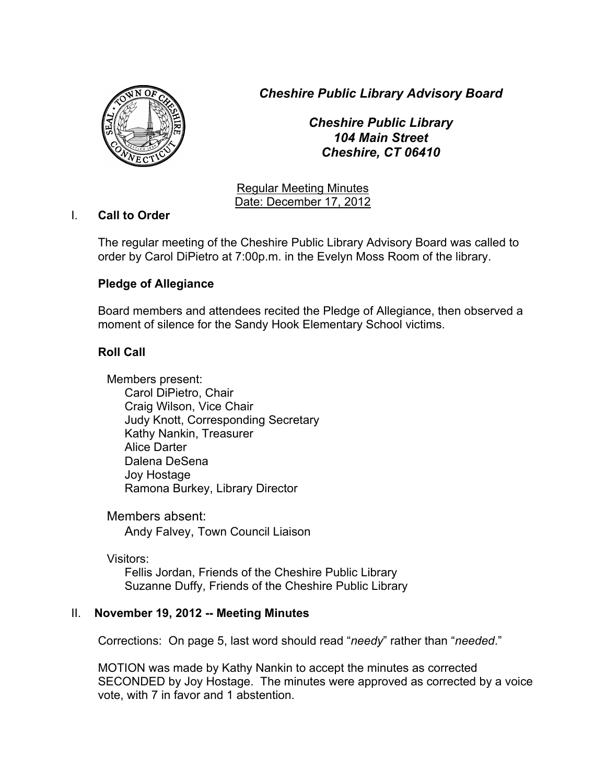*Cheshire Public Library Advisory Board*



*Cheshire Public Library 104 Main Street Cheshire, CT 06410*

Regular Meeting Minutes Date: December 17, 2012

# I. **Call to Order**

The regular meeting of the Cheshire Public Library Advisory Board was called to order by Carol DiPietro at 7:00p.m. in the Evelyn Moss Room of the library.

# **Pledge of Allegiance**

Board members and attendees recited the Pledge of Allegiance, then observed a moment of silence for the Sandy Hook Elementary School victims.

# **Roll Call**

Members present: Carol DiPietro, Chair Craig Wilson, Vice Chair Judy Knott, Corresponding Secretary Kathy Nankin, Treasurer Alice Darter Dalena DeSena Joy Hostage Ramona Burkey, Library Director

Members absent: Andy Falvey, Town Council Liaison

Visitors: Fellis Jordan, Friends of the Cheshire Public Library Suzanne Duffy, Friends of the Cheshire Public Library

# II. **November 19, 2012 -- Meeting Minutes**

Corrections: On page 5, last word should read "*needy*" rather than "*needed*."

MOTION was made by Kathy Nankin to accept the minutes as corrected SECONDED by Joy Hostage. The minutes were approved as corrected by a voice vote, with 7 in favor and 1 abstention.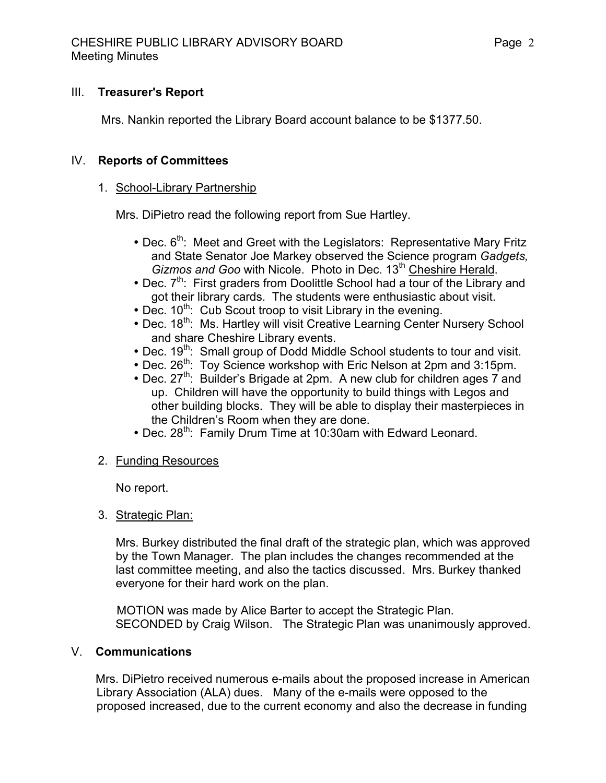#### III. **Treasurer's Report**

Mrs. Nankin reported the Library Board account balance to be \$1377.50.

#### IV. **Reports of Committees**

#### 1. School-Library Partnership

Mrs. DiPietro read the following report from Sue Hartley.

- Dec.  $6<sup>th</sup>$ : Meet and Greet with the Legislators: Representative Mary Fritz and State Senator Joe Markey observed the Science program *Gadgets,*  Gizmos and Goo with Nicole. Photo in Dec. 13<sup>th</sup> Cheshire Herald.
- Dec.  $7<sup>th</sup>$ : First graders from Doolittle School had a tour of the Library and got their library cards. The students were enthusiastic about visit.
- $\bullet$  Dec. 10<sup>th</sup>: Cub Scout troop to visit Library in the evening.
- Dec. 18<sup>th</sup>: Ms. Hartley will visit Creative Learning Center Nursery School and share Cheshire Library events.
- Dec. 19<sup>th</sup>: Small group of Dodd Middle School students to tour and visit.
- Dec. 26<sup>th</sup>: Toy Science workshop with Eric Nelson at 2pm and 3:15pm.
- Dec. 27<sup>th</sup>: Builder's Brigade at 2pm. A new club for children ages 7 and up. Children will have the opportunity to build things with Legos and other building blocks. They will be able to display their masterpieces in the Children's Room when they are done.
- Dec. 28<sup>th</sup>: Family Drum Time at 10:30am with Edward Leonard.
- 2. Funding Resources

No report.

3. Strategic Plan:

Mrs. Burkey distributed the final draft of the strategic plan, which was approved by the Town Manager. The plan includes the changes recommended at the last committee meeting, and also the tactics discussed. Mrs. Burkey thanked everyone for their hard work on the plan.

 MOTION was made by Alice Barter to accept the Strategic Plan. SECONDED by Craig Wilson. The Strategic Plan was unanimously approved.

#### V. **Communications**

 Mrs. DiPietro received numerous e-mails about the proposed increase in American Library Association (ALA) dues. Many of the e-mails were opposed to the proposed increased, due to the current economy and also the decrease in funding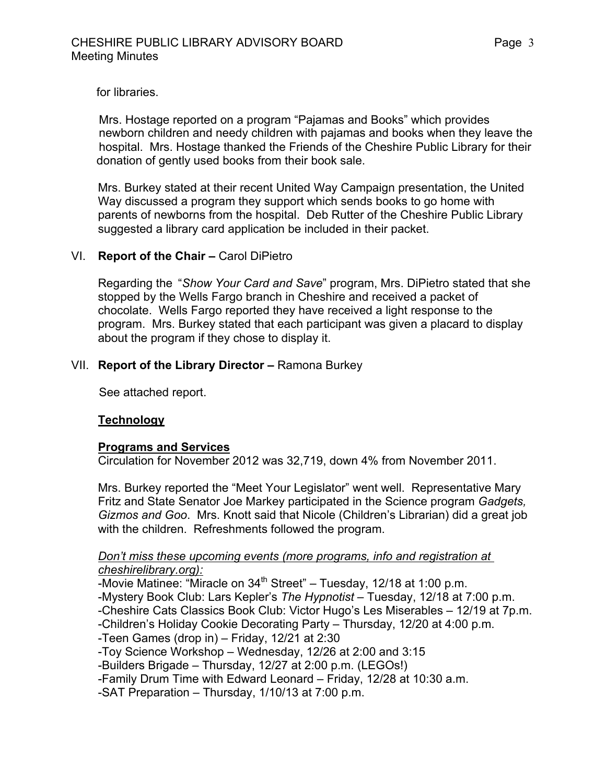for libraries.

 Mrs. Hostage reported on a program "Pajamas and Books" which provides newborn children and needy children with pajamas and books when they leave the hospital. Mrs. Hostage thanked the Friends of the Cheshire Public Library for their donation of gently used books from their book sale.

Mrs. Burkey stated at their recent United Way Campaign presentation, the United Way discussed a program they support which sends books to go home with parents of newborns from the hospital. Deb Rutter of the Cheshire Public Library suggested a library card application be included in their packet.

# VI. **Report of the Chair –** Carol DiPietro

Regarding the "*Show Your Card and Save*" program, Mrs. DiPietro stated that she stopped by the Wells Fargo branch in Cheshire and received a packet of chocolate. Wells Fargo reported they have received a light response to the program. Mrs. Burkey stated that each participant was given a placard to display about the program if they chose to display it.

# VII. **Report of the Library Director –** Ramona Burkey

See attached report.

# **Technology**

# **Programs and Services**

Circulation for November 2012 was 32,719, down 4% from November 2011.

Mrs. Burkey reported the "Meet Your Legislator" went well. Representative Mary Fritz and State Senator Joe Markey participated in the Science program *Gadgets, Gizmos and Goo*. Mrs. Knott said that Nicole (Children's Librarian) did a great job with the children. Refreshments followed the program.

#### *Don't miss these upcoming events (more programs, info and registration at cheshirelibrary.org):*

-Movie Matinee: "Miracle on 34<sup>th</sup> Street" – Tuesday, 12/18 at 1:00 p.m. -Mystery Book Club: Lars Kepler's *The Hypnotist* – Tuesday, 12/18 at 7:00 p.m.

-Cheshire Cats Classics Book Club: Victor Hugo's Les Miserables – 12/19 at 7p.m.

-Children's Holiday Cookie Decorating Party – Thursday, 12/20 at 4:00 p.m.

-Teen Games (drop in) – Friday, 12/21 at 2:30

-Toy Science Workshop – Wednesday, 12/26 at 2:00 and 3:15

-Builders Brigade – Thursday, 12/27 at 2:00 p.m. (LEGOs!)

-Family Drum Time with Edward Leonard – Friday, 12/28 at 10:30 a.m.

-SAT Preparation – Thursday, 1/10/13 at 7:00 p.m.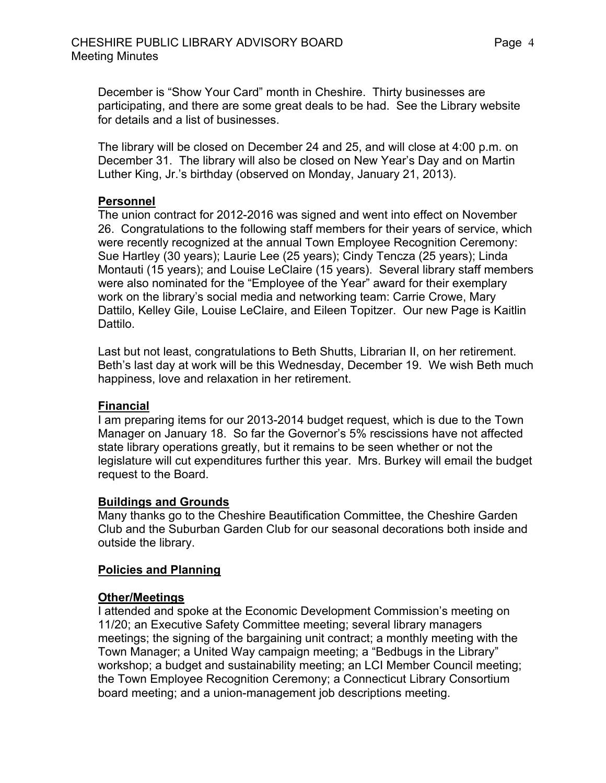December is "Show Your Card" month in Cheshire. Thirty businesses are participating, and there are some great deals to be had. See the Library website for details and a list of businesses.

The library will be closed on December 24 and 25, and will close at 4:00 p.m. on December 31. The library will also be closed on New Year's Day and on Martin Luther King, Jr.'s birthday (observed on Monday, January 21, 2013).

# **Personnel**

The union contract for 2012-2016 was signed and went into effect on November 26. Congratulations to the following staff members for their years of service, which were recently recognized at the annual Town Employee Recognition Ceremony: Sue Hartley (30 years); Laurie Lee (25 years); Cindy Tencza (25 years); Linda Montauti (15 years); and Louise LeClaire (15 years). Several library staff members were also nominated for the "Employee of the Year" award for their exemplary work on the library's social media and networking team: Carrie Crowe, Mary Dattilo, Kelley Gile, Louise LeClaire, and Eileen Topitzer. Our new Page is Kaitlin Dattilo.

Last but not least, congratulations to Beth Shutts, Librarian II, on her retirement. Beth's last day at work will be this Wednesday, December 19. We wish Beth much happiness, love and relaxation in her retirement.

# **Financial**

I am preparing items for our 2013-2014 budget request, which is due to the Town Manager on January 18. So far the Governor's 5% rescissions have not affected state library operations greatly, but it remains to be seen whether or not the legislature will cut expenditures further this year. Mrs. Burkey will email the budget request to the Board.

# **Buildings and Grounds**

Many thanks go to the Cheshire Beautification Committee, the Cheshire Garden Club and the Suburban Garden Club for our seasonal decorations both inside and outside the library.

# **Policies and Planning**

# **Other/Meetings**

I attended and spoke at the Economic Development Commission's meeting on 11/20; an Executive Safety Committee meeting; several library managers meetings; the signing of the bargaining unit contract; a monthly meeting with the Town Manager; a United Way campaign meeting; a "Bedbugs in the Library" workshop; a budget and sustainability meeting; an LCI Member Council meeting; the Town Employee Recognition Ceremony; a Connecticut Library Consortium board meeting; and a union-management job descriptions meeting.